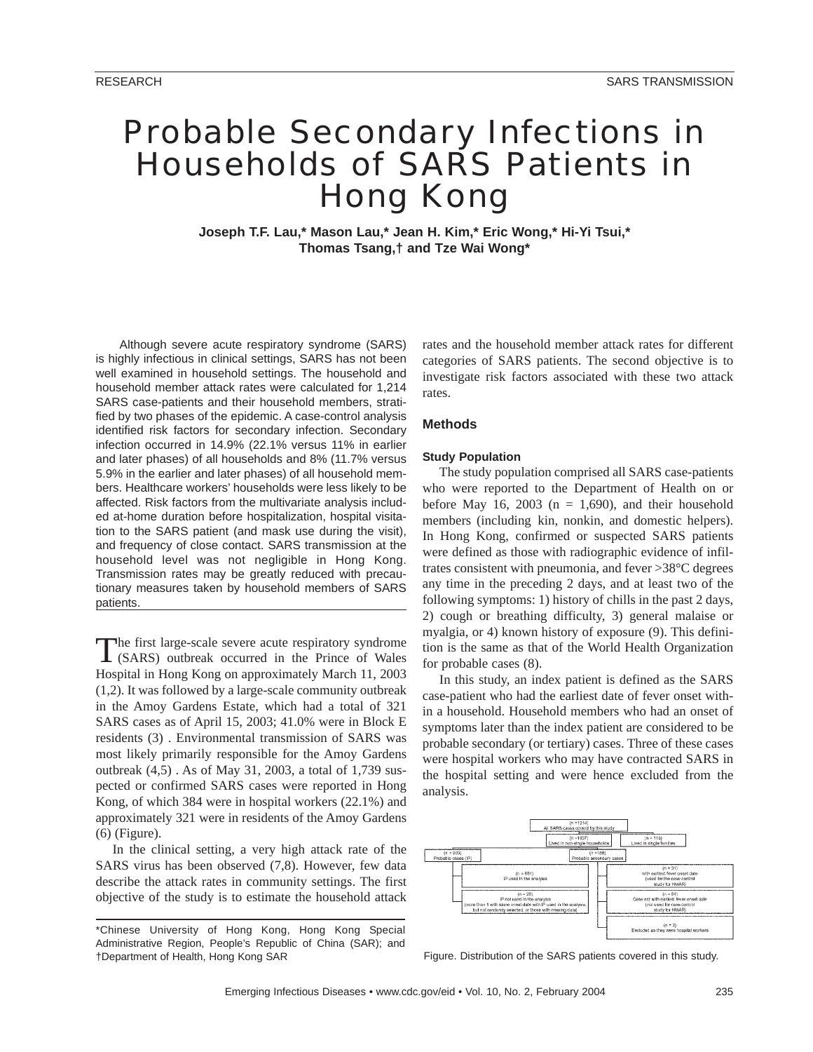# Probable Secondary Infections in Households of SARS Patients in Hong Kong

**Joseph T.F. Lau,\* Mason Lau,\* Jean H. Kim,\* Eric Wong,\* Hi-Yi Tsui,\* Thomas Tsang,† and Tze Wai Wong\***

Although severe acute respiratory syndrome (SARS) is highly infectious in clinical settings, SARS has not been well examined in household settings. The household and household member attack rates were calculated for 1,214 SARS case-patients and their household members, stratified by two phases of the epidemic. A case-control analysis identified risk factors for secondary infection. Secondary infection occurred in 14.9% (22.1% versus 11% in earlier and later phases) of all households and 8% (11.7% versus 5.9% in the earlier and later phases) of all household members. Healthcare workers' households were less likely to be affected. Risk factors from the multivariate analysis included at-home duration before hospitalization, hospital visitation to the SARS patient (and mask use during the visit), and frequency of close contact. SARS transmission at the household level was not negligible in Hong Kong. Transmission rates may be greatly reduced with precautionary measures taken by household members of SARS patients.

The first large-scale severe acute respiratory syndrome (SARS) outbreak occurred in the Prince of Wales Hospital in Hong Kong on approximately March 11, 2003 (1,2). It was followed by a large-scale community outbreak in the Amoy Gardens Estate, which had a total of 321 SARS cases as of April 15, 2003; 41.0% were in Block E residents (3) . Environmental transmission of SARS was most likely primarily responsible for the Amoy Gardens outbreak (4,5) . As of May 31, 2003, a total of 1,739 suspected or confirmed SARS cases were reported in Hong Kong, of which 384 were in hospital workers (22.1%) and approximately 321 were in residents of the Amoy Gardens (6) (Figure).

In the clinical setting, a very high attack rate of the SARS virus has been observed (7,8). However, few data describe the attack rates in community settings. The first objective of the study is to estimate the household attack

rates and the household member attack rates for different categories of SARS patients. The second objective is to investigate risk factors associated with these two attack rates.

# **Methods**

### **Study Population**

The study population comprised all SARS case-patients who were reported to the Department of Health on or before May 16, 2003 ( $n = 1,690$ ), and their household members (including kin, nonkin, and domestic helpers). In Hong Kong, confirmed or suspected SARS patients were defined as those with radiographic evidence of infiltrates consistent with pneumonia, and fever >38°C degrees any time in the preceding 2 days, and at least two of the following symptoms: 1) history of chills in the past 2 days, 2) cough or breathing difficulty, 3) general malaise or myalgia, or 4) known history of exposure (9). This definition is the same as that of the World Health Organization for probable cases (8).

In this study, an index patient is defined as the SARS case-patient who had the earliest date of fever onset within a household. Household members who had an onset of symptoms later than the index patient are considered to be probable secondary (or tertiary) cases. Three of these cases were hospital workers who may have contracted SARS in the hospital setting and were hence excluded from the analysis.



<sup>\*</sup>Chinese University of Hong Kong, Hong Kong Special Administrative Region, People's Republic of China (SAR); and †Department of Health, Hong Kong SAR Figure. Distribution of the SARS patients covered in this study.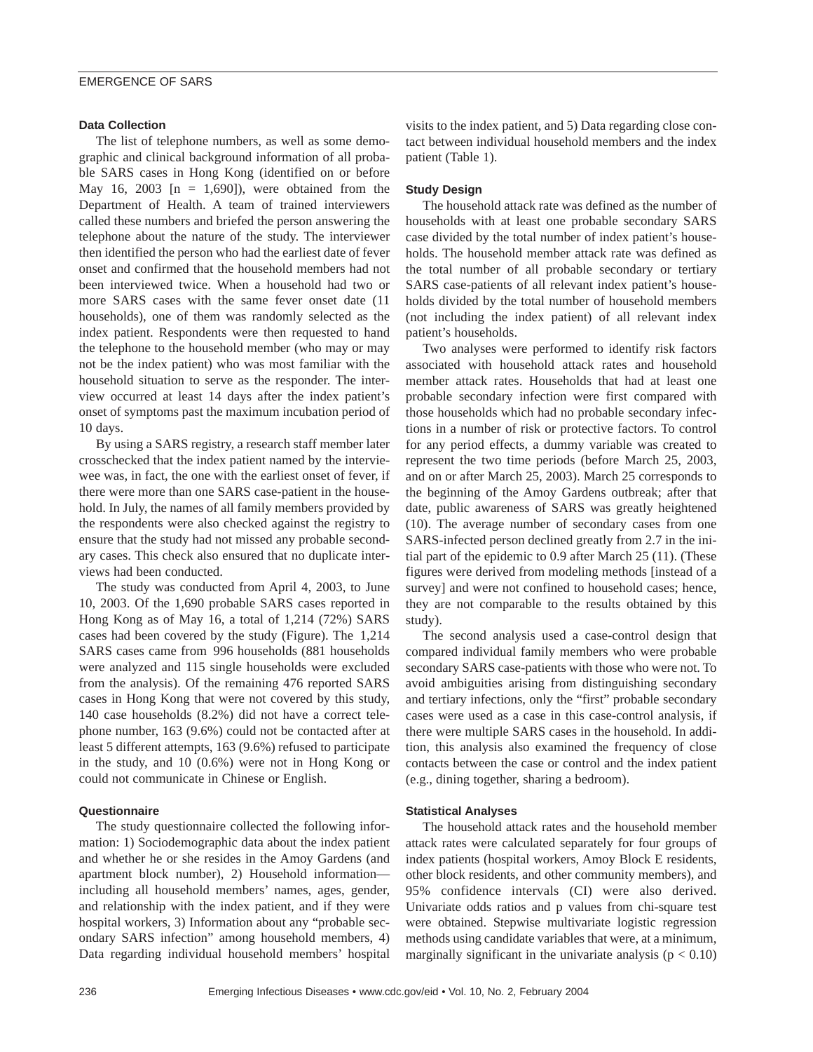# **Data Collection**

The list of telephone numbers, as well as some demographic and clinical background information of all probable SARS cases in Hong Kong (identified on or before May 16, 2003  $[n = 1,690]$ , were obtained from the Department of Health. A team of trained interviewers called these numbers and briefed the person answering the telephone about the nature of the study. The interviewer then identified the person who had the earliest date of fever onset and confirmed that the household members had not been interviewed twice. When a household had two or more SARS cases with the same fever onset date (11 households), one of them was randomly selected as the index patient. Respondents were then requested to hand the telephone to the household member (who may or may not be the index patient) who was most familiar with the household situation to serve as the responder. The interview occurred at least 14 days after the index patient's onset of symptoms past the maximum incubation period of 10 days.

By using a SARS registry, a research staff member later crosschecked that the index patient named by the interviewee was, in fact, the one with the earliest onset of fever, if there were more than one SARS case-patient in the household. In July, the names of all family members provided by the respondents were also checked against the registry to ensure that the study had not missed any probable secondary cases. This check also ensured that no duplicate interviews had been conducted.

The study was conducted from April 4, 2003, to June 10, 2003. Of the 1,690 probable SARS cases reported in Hong Kong as of May 16, a total of 1,214 (72%) SARS cases had been covered by the study (Figure). The 1,214 SARS cases came from 996 households (881 households were analyzed and 115 single households were excluded from the analysis). Of the remaining 476 reported SARS cases in Hong Kong that were not covered by this study, 140 case households (8.2%) did not have a correct telephone number, 163 (9.6%) could not be contacted after at least 5 different attempts, 163 (9.6%) refused to participate in the study, and 10 (0.6%) were not in Hong Kong or could not communicate in Chinese or English.

# **Questionnaire**

The study questionnaire collected the following information: 1) Sociodemographic data about the index patient and whether he or she resides in the Amoy Gardens (and apartment block number), 2) Household information including all household members' names, ages, gender, and relationship with the index patient, and if they were hospital workers, 3) Information about any "probable secondary SARS infection" among household members, 4) Data regarding individual household members' hospital

visits to the index patient, and 5) Data regarding close contact between individual household members and the index patient (Table 1).

## **Study Design**

The household attack rate was defined as the number of households with at least one probable secondary SARS case divided by the total number of index patient's households. The household member attack rate was defined as the total number of all probable secondary or tertiary SARS case-patients of all relevant index patient's households divided by the total number of household members (not including the index patient) of all relevant index patient's households.

Two analyses were performed to identify risk factors associated with household attack rates and household member attack rates. Households that had at least one probable secondary infection were first compared with those households which had no probable secondary infections in a number of risk or protective factors. To control for any period effects, a dummy variable was created to represent the two time periods (before March 25, 2003, and on or after March 25, 2003). March 25 corresponds to the beginning of the Amoy Gardens outbreak; after that date, public awareness of SARS was greatly heightened (10). The average number of secondary cases from one SARS-infected person declined greatly from 2.7 in the initial part of the epidemic to 0.9 after March 25 (11). (These figures were derived from modeling methods [instead of a survey] and were not confined to household cases; hence, they are not comparable to the results obtained by this study).

The second analysis used a case-control design that compared individual family members who were probable secondary SARS case-patients with those who were not. To avoid ambiguities arising from distinguishing secondary and tertiary infections, only the "first" probable secondary cases were used as a case in this case-control analysis, if there were multiple SARS cases in the household. In addition, this analysis also examined the frequency of close contacts between the case or control and the index patient (e.g., dining together, sharing a bedroom).

### **Statistical Analyses**

The household attack rates and the household member attack rates were calculated separately for four groups of index patients (hospital workers, Amoy Block E residents, other block residents, and other community members), and 95% confidence intervals (CI) were also derived. Univariate odds ratios and p values from chi-square test were obtained. Stepwise multivariate logistic regression methods using candidate variables that were, at a minimum, marginally significant in the univariate analysis ( $p < 0.10$ )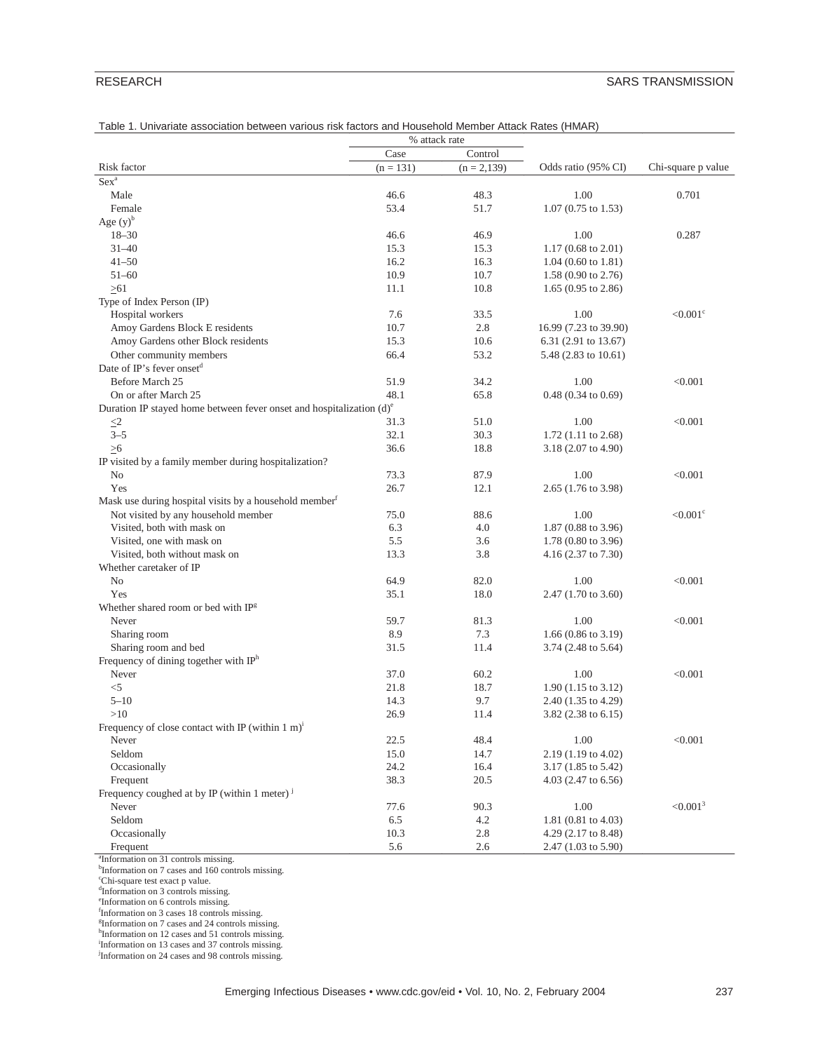# RESEARCH **SARS TRANSMISSION**

| Table 1. Univariate association between various risk factors and Household Member Attack Rates (HMAR) |  |
|-------------------------------------------------------------------------------------------------------|--|
|-------------------------------------------------------------------------------------------------------|--|

|                                                                                                                               | % attack rate |                |                                |                        |  |
|-------------------------------------------------------------------------------------------------------------------------------|---------------|----------------|--------------------------------|------------------------|--|
|                                                                                                                               | Case          | Control        |                                |                        |  |
| Risk factor                                                                                                                   | $(n = 131)$   | $(n = 2, 139)$ | Odds ratio (95% CI)            | Chi-square p value     |  |
| Sex <sup>a</sup>                                                                                                              |               |                |                                |                        |  |
| Male                                                                                                                          | 46.6          | 48.3           | 1.00                           | 0.701                  |  |
| Female                                                                                                                        | 53.4          | 51.7           | $1.07$ (0.75 to 1.53)          |                        |  |
| Age $(y)$ <sup>b</sup>                                                                                                        |               |                |                                |                        |  |
| $18 - 30$                                                                                                                     | 46.6          | 46.9           | 1.00                           | 0.287                  |  |
| $31 - 40$                                                                                                                     | 15.3          | 15.3           |                                |                        |  |
|                                                                                                                               | 16.2          | 16.3           | $1.17(0.68 \text{ to } 2.01)$  |                        |  |
| $41 - 50$                                                                                                                     |               |                | $1.04$ (0.60 to 1.81)          |                        |  |
| $51 - 60$                                                                                                                     | 10.9          | 10.7           | 1.58 (0.90 to 2.76)            |                        |  |
| $\geq 61$                                                                                                                     | 11.1          | 10.8           | 1.65 $(0.95 \text{ to } 2.86)$ |                        |  |
| Type of Index Person (IP)                                                                                                     |               |                |                                |                        |  |
| Hospital workers                                                                                                              | 7.6           | 33.5           | 1.00                           | $< 0.001$ <sup>c</sup> |  |
| Amoy Gardens Block E residents                                                                                                | 10.7          | 2.8            | 16.99 (7.23 to 39.90)          |                        |  |
| Amoy Gardens other Block residents                                                                                            | 15.3          | 10.6           | 6.31 (2.91 to 13.67)           |                        |  |
| Other community members                                                                                                       | 66.4          | 53.2           | 5.48 (2.83 to 10.61)           |                        |  |
| Date of IP's fever onset <sup>d</sup>                                                                                         |               |                |                                |                        |  |
| Before March 25                                                                                                               | 51.9          | 34.2           | 1.00                           | < 0.001                |  |
| On or after March 25                                                                                                          | 48.1          | 65.8           | $0.48$ (0.34 to 0.69)          |                        |  |
| Duration IP stayed home between fever onset and hospitalization (d) <sup>e</sup>                                              |               |                |                                |                        |  |
| $\leq$ 2                                                                                                                      | 31.3          | 51.0           | 1.00                           | < 0.001                |  |
| $3 - 5$                                                                                                                       | 32.1          | 30.3           | $1.72$ (1.11 to 2.68)          |                        |  |
| $\geq 6$                                                                                                                      | 36.6          | 18.8           | 3.18 (2.07 to 4.90)            |                        |  |
| IP visited by a family member during hospitalization?                                                                         |               |                |                                |                        |  |
| No                                                                                                                            | 73.3          | 87.9           | 1.00                           | < 0.001                |  |
| Yes                                                                                                                           | 26.7          | 12.1           | 2.65 (1.76 to 3.98)            |                        |  |
| Mask use during hospital visits by a household member <sup>t</sup>                                                            |               |                |                                |                        |  |
| Not visited by any household member                                                                                           | 75.0          | 88.6           | 1.00                           | $< 0.001$ <sup>c</sup> |  |
| Visited, both with mask on                                                                                                    | 6.3           | 4.0            | 1.87 (0.88 to 3.96)            |                        |  |
| Visited, one with mask on                                                                                                     | 5.5           | 3.6            | 1.78 (0.80 to 3.96)            |                        |  |
| Visited, both without mask on                                                                                                 | 13.3          | 3.8            | 4.16 (2.37 to 7.30)            |                        |  |
| Whether caretaker of IP                                                                                                       |               |                |                                |                        |  |
| No                                                                                                                            | 64.9          | 82.0           | 1.00                           | < 0.001                |  |
| Yes                                                                                                                           | 35.1          | 18.0           | $2.47(1.70 \text{ to } 3.60)$  |                        |  |
| Whether shared room or bed with $IP^g$                                                                                        |               |                |                                |                        |  |
| Never                                                                                                                         | 59.7          | 81.3           | 1.00                           | < 0.001                |  |
| Sharing room                                                                                                                  | 8.9           | 7.3            | 1.66 $(0.86 \text{ to } 3.19)$ |                        |  |
| Sharing room and bed                                                                                                          | 31.5          | 11.4           | $3.74$ (2.48 to 5.64)          |                        |  |
| Frequency of dining together with $IPh$                                                                                       |               |                |                                |                        |  |
| Never                                                                                                                         | 37.0          | 60.2           | 1.00                           | < 0.001                |  |
| $<$ 5                                                                                                                         | 21.8          | 18.7           | $1.90(1.15 \text{ to } 3.12)$  |                        |  |
| $5 - 10$                                                                                                                      | 14.3          | 9.7            |                                |                        |  |
| >10                                                                                                                           |               |                | 2.40 (1.35 to 4.29)            |                        |  |
|                                                                                                                               | 26.9          | 11.4           | 3.82 (2.38 to 6.15)            |                        |  |
| Frequency of close contact with IP (within 1 m) $^{i}$                                                                        |               |                |                                |                        |  |
| Never                                                                                                                         | 22.5          | 48.4           | 1.00                           | < 0.001                |  |
| Seldom                                                                                                                        | 15.0          | 14.7           | 2.19 (1.19 to 4.02)            |                        |  |
| Occasionally                                                                                                                  | 24.2          | 16.4           | 3.17 (1.85 to 5.42)            |                        |  |
| Frequent                                                                                                                      | 38.3          | 20.5           | $4.03$ (2.47 to 6.56)          |                        |  |
| Frequency coughed at by IP (within 1 meter) <sup><math>\frac{1}{2}</math></sup>                                               |               |                |                                |                        |  |
| Never                                                                                                                         | 77.6          | 90.3           | 1.00                           | < 0.001 <sup>3</sup>   |  |
| Seldom                                                                                                                        | 6.5           | 4.2            | 1.81 (0.81 to 4.03)            |                        |  |
| Occasionally                                                                                                                  | 10.3          | 2.8            | 4.29 (2.17 to 8.48)            |                        |  |
| Frequent                                                                                                                      | 5.6           | 2.6            | 2.47 (1.03 to 5.90)            |                        |  |
| <sup>a</sup> Information on 31 controls missing.                                                                              |               |                |                                |                        |  |
| <sup>b</sup> Information on 7 cases and 160 controls missing.<br><sup>c</sup> Chi-square test exact p value.                  |               |                |                                |                        |  |
| <sup>a</sup> Information on 3 controls missing.                                                                               |               |                |                                |                        |  |
| <sup>e</sup> Information on 6 controls missing.                                                                               |               |                |                                |                        |  |
| Information on 3 cases 18 controls missing.                                                                                   |               |                |                                |                        |  |
| <sup>g</sup> Information on 7 cases and 24 controls missing.<br><sup>h</sup> Information on 12 cases and 51 controls missing. |               |                |                                |                        |  |
| Information on 13 cases and 37 controls missing.                                                                              |               |                |                                |                        |  |
| Information on 24 cases and 98 controls missing.                                                                              |               |                |                                |                        |  |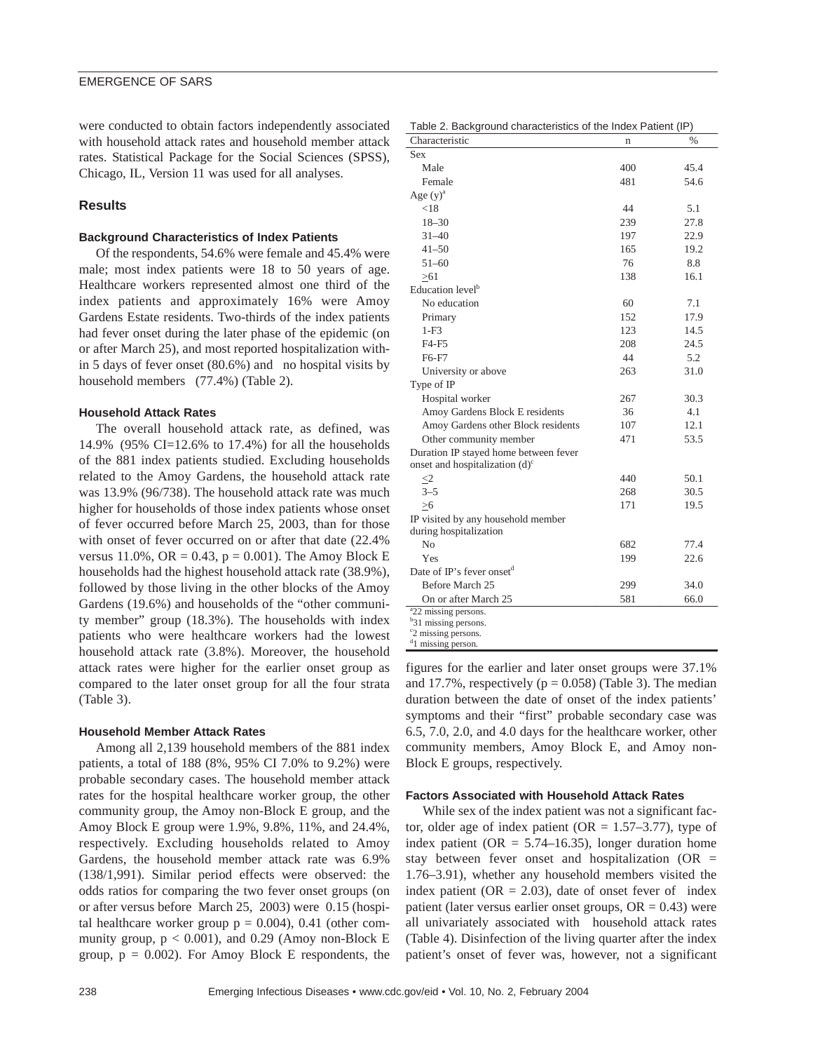were conducted to obtain factors independently associated with household attack rates and household member attack rates. Statistical Package for the Social Sciences (SPSS), Chicago, IL, Version 11 was used for all analyses.

# **Results**

#### **Background Characteristics of Index Patients**

Of the respondents, 54.6% were female and 45.4% were male; most index patients were 18 to 50 years of age. Healthcare workers represented almost one third of the index patients and approximately 16% were Amoy Gardens Estate residents. Two-thirds of the index patients had fever onset during the later phase of the epidemic (on or after March 25), and most reported hospitalization within 5 days of fever onset (80.6%) and no hospital visits by household members (77.4%) (Table 2).

### **Household Attack Rates**

The overall household attack rate, as defined, was 14.9% (95% CI=12.6% to 17.4%) for all the households of the 881 index patients studied. Excluding households related to the Amoy Gardens, the household attack rate was 13.9% (96/738). The household attack rate was much higher for households of those index patients whose onset of fever occurred before March 25, 2003, than for those with onset of fever occurred on or after that date (22.4% versus  $11.0\%$ , OR = 0.43, p = 0.001). The Amoy Block E households had the highest household attack rate (38.9%), followed by those living in the other blocks of the Amoy Gardens (19.6%) and households of the "other community member" group (18.3%). The households with index patients who were healthcare workers had the lowest household attack rate (3.8%). Moreover, the household attack rates were higher for the earlier onset group as compared to the later onset group for all the four strata (Table 3).

### **Household Member Attack Rates**

Among all 2,139 household members of the 881 index patients, a total of 188 (8%, 95% CI 7.0% to 9.2%) were probable secondary cases. The household member attack rates for the hospital healthcare worker group, the other community group, the Amoy non-Block E group, and the Amoy Block E group were 1.9%, 9.8%, 11%, and 24.4%, respectively. Excluding households related to Amoy Gardens, the household member attack rate was 6.9% (138/1,991). Similar period effects were observed: the odds ratios for comparing the two fever onset groups (on or after versus before March 25, 2003) were 0.15 (hospital healthcare worker group  $p = 0.004$ ), 0.41 (other community group,  $p < 0.001$ ), and 0.29 (Amoy non-Block E group,  $p = 0.002$ ). For Amoy Block E respondents, the

| Table 2. Background characteristics of the Index Patient (IP) |  |  |  |
|---------------------------------------------------------------|--|--|--|
|---------------------------------------------------------------|--|--|--|

| Characteristic                                                      | n   | $\%$ |
|---------------------------------------------------------------------|-----|------|
| Sex                                                                 |     |      |
| Male                                                                | 400 | 45.4 |
| Female                                                              | 481 | 54.6 |
| Age $(y)^a$                                                         |     |      |
| < 18                                                                | 44  | 5.1  |
| $18 - 30$                                                           | 239 | 27.8 |
| $31 - 40$                                                           | 197 | 22.9 |
| $41 - 50$                                                           | 165 | 19.2 |
| $51 - 60$                                                           | 76  | 8.8  |
| $>61$                                                               | 138 | 16.1 |
| Education level <sup>b</sup>                                        |     |      |
| No education                                                        | 60  | 7.1  |
| Primary                                                             | 152 | 17.9 |
| $1-F3$                                                              | 123 | 14.5 |
| $F4-F5$                                                             | 208 | 24.5 |
| F6-F7                                                               | 44  | 5.2  |
| University or above                                                 | 263 | 31.0 |
| Type of IP                                                          |     |      |
| Hospital worker                                                     | 267 | 30.3 |
| Amoy Gardens Block E residents                                      | 36  | 4.1  |
| Amoy Gardens other Block residents                                  | 107 | 12.1 |
| Other community member                                              | 471 | 53.5 |
| Duration IP stayed home between fever                               |     |      |
| onset and hospitalization (d) <sup>c</sup>                          |     |      |
| $\leq$ 2                                                            | 440 | 50.1 |
| $3 - 5$                                                             | 268 | 30.5 |
| >6                                                                  | 171 | 19.5 |
| IP visited by any household member                                  |     |      |
| during hospitalization                                              |     |      |
| N <sub>0</sub>                                                      | 682 | 77.4 |
| Yes                                                                 | 199 | 22.6 |
| Date of IP's fever onset <sup>d</sup>                               |     |      |
| Before March 25                                                     | 299 | 34.0 |
| On or after March 25                                                | 581 | 66.0 |
| <sup>a</sup> 22 missing persons.                                    |     |      |
| <sup>b</sup> 31 missing persons.<br><sup>c</sup> 2 missing persons. |     |      |
| <sup>d</sup> 1 missing person.                                      |     |      |

figures for the earlier and later onset groups were 37.1% and 17.7%, respectively ( $p = 0.058$ ) (Table 3). The median duration between the date of onset of the index patients' symptoms and their "first" probable secondary case was 6.5, 7.0, 2.0, and 4.0 days for the healthcare worker, other community members, Amoy Block E, and Amoy non-Block E groups, respectively.

#### **Factors Associated with Household Attack Rates**

While sex of the index patient was not a significant factor, older age of index patient (OR =  $1.57-3.77$ ), type of index patient ( $OR = 5.74{\text -}16.35$ ), longer duration home stay between fever onset and hospitalization (OR  $=$ 1.76–3.91), whether any household members visited the index patient ( $OR = 2.03$ ), date of onset fever of index patient (later versus earlier onset groups,  $OR = 0.43$ ) were all univariately associated with household attack rates (Table 4). Disinfection of the living quarter after the index patient's onset of fever was, however, not a significant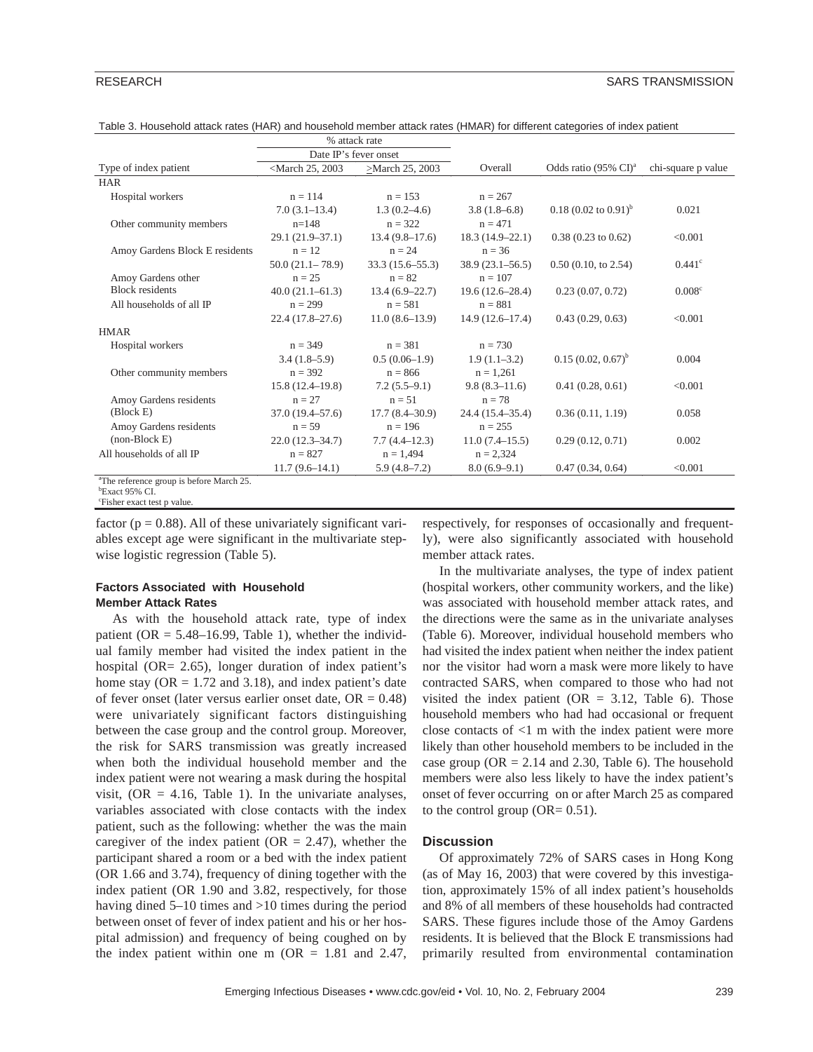|                                                      |                                                                                                                                                                          | % attack rate         |                     |                                           |                    |
|------------------------------------------------------|--------------------------------------------------------------------------------------------------------------------------------------------------------------------------|-----------------------|---------------------|-------------------------------------------|--------------------|
|                                                      |                                                                                                                                                                          | Date IP's fever onset |                     |                                           |                    |
| Type of index patient                                | <march 2003<="" 25,="" th=""><th>&gt;March 25, 2003</th><th>Overall</th><th>Odds ratio <math>(95\% \text{ CI})^{\text{a}}</math></th><th>chi-square p value</th></march> | >March 25, 2003       | Overall             | Odds ratio $(95\% \text{ CI})^{\text{a}}$ | chi-square p value |
| <b>HAR</b>                                           |                                                                                                                                                                          |                       |                     |                                           |                    |
| Hospital workers                                     | $n = 114$                                                                                                                                                                | $n = 153$             | $n = 267$           |                                           |                    |
|                                                      | $7.0(3.1-13.4)$                                                                                                                                                          | $1.3(0.2-4.6)$        | $3.8(1.8-6.8)$      | $0.18$ (0.02 to $0.91$ ) <sup>b</sup>     | 0.021              |
| Other community members                              | $n=148$                                                                                                                                                                  | $n = 322$             | $n = 471$           |                                           |                    |
|                                                      | $29.1(21.9-37.1)$                                                                                                                                                        | $13.4(9.8-17.6)$      | $18.3(14.9-22.1)$   | $0.38(0.23 \text{ to } 0.62)$             | < 0.001            |
| Amoy Gardens Block E residents                       | $n = 12$                                                                                                                                                                 | $n = 24$              | $n = 36$            |                                           |                    |
|                                                      | $50.0(21.1 - 78.9)$                                                                                                                                                      | $33.3(15.6 - 55.3)$   | $38.9(23.1 - 56.5)$ | $0.50$ (0.10, to 2.54)                    | $0.441^{\circ}$    |
| Amoy Gardens other                                   | $n = 25$                                                                                                                                                                 | $n = 82$              | $n = 107$           |                                           |                    |
| <b>Block</b> residents                               | $40.0(21.1-61.3)$                                                                                                                                                        | $13.4(6.9-22.7)$      | $19.6(12.6 - 28.4)$ | 0.23(0.07, 0.72)                          | 0.008 <sup>c</sup> |
| All households of all IP                             | $n = 299$                                                                                                                                                                | $n = 581$             | $n = 881$           |                                           |                    |
|                                                      | $22.4(17.8-27.6)$                                                                                                                                                        | $11.0(8.6-13.9)$      | $14.9(12.6-17.4)$   | 0.43(0.29, 0.63)                          | < 0.001            |
| <b>HMAR</b>                                          |                                                                                                                                                                          |                       |                     |                                           |                    |
| Hospital workers                                     | $n = 349$                                                                                                                                                                | $n = 381$             | $n = 730$           |                                           |                    |
|                                                      | $3.4(1.8-5.9)$                                                                                                                                                           | $0.5(0.06-1.9)$       | $1.9(1.1-3.2)$      | $0.15(0.02, 0.67)^b$                      | 0.004              |
| Other community members                              | $n = 392$                                                                                                                                                                | $n = 866$             | $n = 1,261$         |                                           |                    |
|                                                      | $15.8(12.4 - 19.8)$                                                                                                                                                      | $7.2(5.5-9.1)$        | $9.8(8.3-11.6)$     | 0.41(0.28, 0.61)                          | < 0.001            |
| Amoy Gardens residents                               | $n = 27$                                                                                                                                                                 | $n = 51$              | $n = 78$            |                                           |                    |
| (Block E)                                            | $37.0(19.4 - 57.6)$                                                                                                                                                      | $17.7(8.4-30.9)$      | $24.4(15.4-35.4)$   | 0.36(0.11, 1.19)                          | 0.058              |
| Amoy Gardens residents                               | $n = 59$                                                                                                                                                                 | $n = 196$             | $n = 255$           |                                           |                    |
| $(non-Block E)$                                      | $22.0(12.3 - 34.7)$                                                                                                                                                      | $7.7(4.4-12.3)$       | 11.0(7.4–15.5)      | 0.29(0.12, 0.71)                          | 0.002              |
| All households of all IP                             | $n = 827$                                                                                                                                                                | $n = 1,494$           | $n = 2,324$         |                                           |                    |
|                                                      | $11.7(9.6-14.1)$                                                                                                                                                         | $5.9(4.8-7.2)$        | $8.0(6.9-9.1)$      | 0.47(0.34, 0.64)                          | < 0.001            |
| <sup>a</sup> The reference group is before March 25. |                                                                                                                                                                          |                       |                     |                                           |                    |

b Exact 95% CI. c Fisher exact test p value.

factor ( $p = 0.88$ ). All of these univariately significant variables except age were significant in the multivariate stepwise logistic regression (Table 5).

# **Factors Associated with Household Member Attack Rates**

As with the household attack rate, type of index patient ( $OR = 5.48-16.99$ , Table 1), whether the individual family member had visited the index patient in the hospital (OR= 2.65), longer duration of index patient's home stay ( $OR = 1.72$  and 3.18), and index patient's date of fever onset (later versus earlier onset date,  $OR = 0.48$ ) were univariately significant factors distinguishing between the case group and the control group. Moreover, the risk for SARS transmission was greatly increased when both the individual household member and the index patient were not wearing a mask during the hospital visit,  $(OR = 4.16, Table 1)$ . In the univariate analyses, variables associated with close contacts with the index patient, such as the following: whether the was the main caregiver of the index patient ( $OR = 2.47$ ), whether the participant shared a room or a bed with the index patient (OR 1.66 and 3.74), frequency of dining together with the index patient (OR 1.90 and 3.82, respectively, for those having dined 5–10 times and >10 times during the period between onset of fever of index patient and his or her hospital admission) and frequency of being coughed on by the index patient within one m ( $OR = 1.81$  and 2.47,

respectively, for responses of occasionally and frequently), were also significantly associated with household member attack rates.

In the multivariate analyses, the type of index patient (hospital workers, other community workers, and the like) was associated with household member attack rates, and the directions were the same as in the univariate analyses (Table 6). Moreover, individual household members who had visited the index patient when neither the index patient nor the visitor had worn a mask were more likely to have contracted SARS, when compared to those who had not visited the index patient ( $OR = 3.12$ , Table 6). Those household members who had had occasional or frequent close contacts of <1 m with the index patient were more likely than other household members to be included in the case group ( $OR = 2.14$  and 2.30, Table 6). The household members were also less likely to have the index patient's onset of fever occurring on or after March 25 as compared to the control group ( $OR = 0.51$ ).

# **Discussion**

Of approximately 72% of SARS cases in Hong Kong (as of May 16, 2003) that were covered by this investigation, approximately 15% of all index patient's households and 8% of all members of these households had contracted SARS. These figures include those of the Amoy Gardens residents. It is believed that the Block E transmissions had primarily resulted from environmental contamination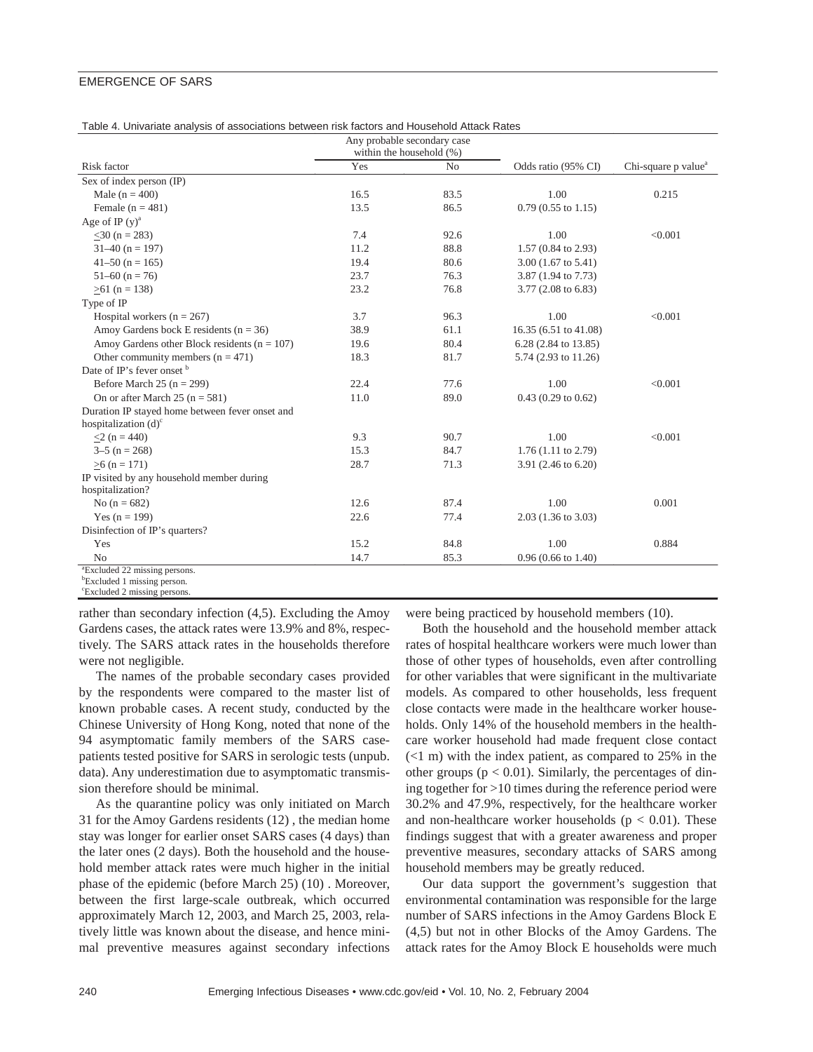### EMERGENCE OF SARS

| Table 4. Univariate analysis of associations between risk factors and Household Attack Rates |
|----------------------------------------------------------------------------------------------|
|----------------------------------------------------------------------------------------------|

|                                                  | Any probable secondary case<br>within the household (%) |                |                               |                                 |
|--------------------------------------------------|---------------------------------------------------------|----------------|-------------------------------|---------------------------------|
| Risk factor                                      | Yes                                                     | N <sub>o</sub> | Odds ratio (95% CI)           | Chi-square p value <sup>a</sup> |
| Sex of index person (IP)                         |                                                         |                |                               |                                 |
| Male $(n = 400)$                                 | 16.5                                                    | 83.5           | 1.00                          | 0.215                           |
| Female $(n = 481)$                               | 13.5                                                    | 86.5           | $0.79(0.55 \text{ to } 1.15)$ |                                 |
| Age of IP $(v)^a$                                |                                                         |                |                               |                                 |
| $<$ 30 (n = 283)                                 | 7.4                                                     | 92.6           | 1.00                          | < 0.001                         |
| $31-40$ (n = 197)                                | 11.2                                                    | 88.8           | 1.57 (0.84 to 2.93)           |                                 |
| $41-50$ (n = 165)                                | 19.4                                                    | 80.6           | $3.00(1.67 \text{ to } 5.41)$ |                                 |
| $51-60$ (n = 76)                                 | 23.7                                                    | 76.3           | 3.87 (1.94 to 7.73)           |                                 |
| $>61$ (n = 138)                                  | 23.2                                                    | 76.8           | 3.77 (2.08 to 6.83)           |                                 |
| Type of IP                                       |                                                         |                |                               |                                 |
| Hospital workers ( $n = 267$ )                   | 3.7                                                     | 96.3           | 1.00                          | < 0.001                         |
| Amoy Gardens bock E residents ( $n = 36$ )       | 38.9                                                    | 61.1           | 16.35 (6.51 to 41.08)         |                                 |
| Amoy Gardens other Block residents ( $n = 107$ ) | 19.6                                                    | 80.4           | 6.28 (2.84 to 13.85)          |                                 |
| Other community members $(n = 471)$              | 18.3                                                    | 81.7           | 5.74 (2.93 to 11.26)          |                                 |
| Date of IP's fever onset b                       |                                                         |                |                               |                                 |
| Before March 25 $(n = 299)$                      | 22.4                                                    | 77.6           | 1.00                          | < 0.001                         |
| On or after March 25 $(n = 581)$                 | 11.0                                                    | 89.0           | $0.43(0.29 \text{ to } 0.62)$ |                                 |
| Duration IP stayed home between fever onset and  |                                                         |                |                               |                                 |
| hospitalization $(d)$ <sup>c</sup>               |                                                         |                |                               |                                 |
| $<$ 2 (n = 440)                                  | 9.3                                                     | 90.7           | 1.00                          | < 0.001                         |
| $3-5$ (n = 268)                                  | 15.3                                                    | 84.7           | $1.76(1.11 \text{ to } 2.79)$ |                                 |
| $>6 (n = 171)$                                   | 28.7                                                    | 71.3           | 3.91 (2.46 to 6.20)           |                                 |
| IP visited by any household member during        |                                                         |                |                               |                                 |
| hospitalization?                                 |                                                         |                |                               |                                 |
| No $(n = 682)$                                   | 12.6                                                    | 87.4           | 1.00                          | 0.001                           |
| Yes $(n = 199)$                                  | 22.6                                                    | 77.4           | 2.03 (1.36 to 3.03)           |                                 |
| Disinfection of IP's quarters?                   |                                                         |                |                               |                                 |
| Yes                                              | 15.2                                                    | 84.8           | 1.00                          | 0.884                           |
| No                                               | 14.7                                                    | 85.3           | $0.96(0.66 \text{ to } 1.40)$ |                                 |
| <sup>a</sup> Excluded 22 missing persons.        |                                                         |                |                               |                                 |

**Excluded 1 missing person.** 

c Excluded 2 missing persons.

rather than secondary infection (4,5). Excluding the Amoy Gardens cases, the attack rates were 13.9% and 8%, respectively. The SARS attack rates in the households therefore were not negligible.

The names of the probable secondary cases provided by the respondents were compared to the master list of known probable cases. A recent study, conducted by the Chinese University of Hong Kong, noted that none of the 94 asymptomatic family members of the SARS casepatients tested positive for SARS in serologic tests (unpub. data). Any underestimation due to asymptomatic transmission therefore should be minimal.

As the quarantine policy was only initiated on March 31 for the Amoy Gardens residents (12) , the median home stay was longer for earlier onset SARS cases (4 days) than the later ones (2 days). Both the household and the household member attack rates were much higher in the initial phase of the epidemic (before March 25) (10) . Moreover, between the first large-scale outbreak, which occurred approximately March 12, 2003, and March 25, 2003, relatively little was known about the disease, and hence minimal preventive measures against secondary infections were being practiced by household members (10).

Both the household and the household member attack rates of hospital healthcare workers were much lower than those of other types of households, even after controlling for other variables that were significant in the multivariate models. As compared to other households, less frequent close contacts were made in the healthcare worker households. Only 14% of the household members in the healthcare worker household had made frequent close contact  $(<1$  m) with the index patient, as compared to 25% in the other groups ( $p < 0.01$ ). Similarly, the percentages of dining together for >10 times during the reference period were 30.2% and 47.9%, respectively, for the healthcare worker and non-healthcare worker households ( $p < 0.01$ ). These findings suggest that with a greater awareness and proper preventive measures, secondary attacks of SARS among household members may be greatly reduced.

Our data support the government's suggestion that environmental contamination was responsible for the large number of SARS infections in the Amoy Gardens Block E (4,5) but not in other Blocks of the Amoy Gardens. The attack rates for the Amoy Block E households were much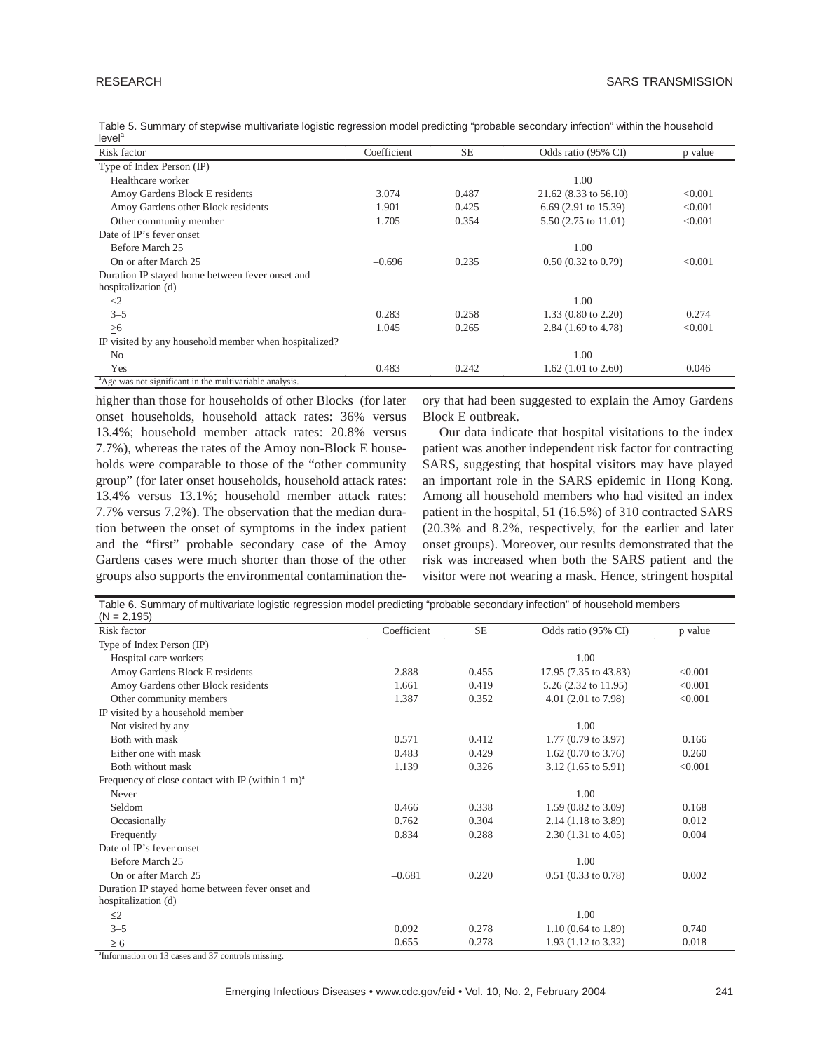|                    |  |  | Table 5. Summary of stepwise multivariate logistic regression model predicting "probable secondary infection" within the household |  |  |  |
|--------------------|--|--|------------------------------------------------------------------------------------------------------------------------------------|--|--|--|
| level <sup>a</sup> |  |  |                                                                                                                                    |  |  |  |

| Risk factor                                                            | Coefficient | <b>SE</b> | Odds ratio (95% CI)           | p value |
|------------------------------------------------------------------------|-------------|-----------|-------------------------------|---------|
| Type of Index Person (IP)                                              |             |           |                               |         |
| Healthcare worker                                                      |             |           | 1.00                          |         |
| Amoy Gardens Block E residents                                         | 3.074       | 0.487     | 21.62 (8.33 to 56.10)         | < 0.001 |
| Amoy Gardens other Block residents                                     | 1.901       | 0.425     | $6.69$ (2.91 to 15.39)        | < 0.001 |
| Other community member                                                 | 1.705       | 0.354     | 5.50 (2.75 to 11.01)          | < 0.001 |
| Date of IP's fever onset                                               |             |           |                               |         |
| Before March 25                                                        |             |           | 1.00                          |         |
| On or after March 25                                                   | $-0.696$    | 0.235     | $0.50(0.32 \text{ to } 0.79)$ | < 0.001 |
| Duration IP stayed home between fever onset and<br>hospitalization (d) |             |           |                               |         |
| $\leq$ 2                                                               |             |           | 1.00                          |         |
| $3 - 5$                                                                | 0.283       | 0.258     | $1.33(0.80 \text{ to } 2.20)$ | 0.274   |
| $\geq 6$                                                               | 1.045       | 0.265     | 2.84 (1.69 to 4.78)           | < 0.001 |
| IP visited by any household member when hospitalized?                  |             |           |                               |         |
| N <sub>0</sub>                                                         |             |           | 1.00                          |         |
| Yes                                                                    | 0.483       | 0.242     | $1.62$ (1.01 to 2.60)         | 0.046   |
| <sup>a</sup> Age was not significant in the multivariable analysis.    |             |           |                               |         |

higher than those for households of other Blocks (for later onset households, household attack rates: 36% versus 13.4%; household member attack rates: 20.8% versus 7.7%), whereas the rates of the Amoy non-Block E households were comparable to those of the "other community group" (for later onset households, household attack rates: 13.4% versus 13.1%; household member attack rates: 7.7% versus 7.2%). The observation that the median duration between the onset of symptoms in the index patient and the "first" probable secondary case of the Amoy Gardens cases were much shorter than those of the other groups also supports the environmental contamination theory that had been suggested to explain the Amoy Gardens Block E outbreak.

Our data indicate that hospital visitations to the index patient was another independent risk factor for contracting SARS, suggesting that hospital visitors may have played an important role in the SARS epidemic in Hong Kong. Among all household members who had visited an index patient in the hospital, 51 (16.5%) of 310 contracted SARS (20.3% and 8.2%, respectively, for the earlier and later onset groups). Moreover, our results demonstrated that the risk was increased when both the SARS patient and the visitor were not wearing a mask. Hence, stringent hospital

| Table 6. Summary of multivariate logistic regression model predicting "probable secondary infection" of household members<br>$(N = 2, 195)$ |             |           |                               |         |
|---------------------------------------------------------------------------------------------------------------------------------------------|-------------|-----------|-------------------------------|---------|
| Risk factor                                                                                                                                 | Coefficient | <b>SE</b> | Odds ratio (95% CI)           | p value |
| Type of Index Person (IP)                                                                                                                   |             |           |                               |         |
| Hospital care workers                                                                                                                       |             |           | 1.00                          |         |
| Amoy Gardens Block E residents                                                                                                              | 2.888       | 0.455     | 17.95 (7.35 to 43.83)         | < 0.001 |
| Amoy Gardens other Block residents                                                                                                          | 1.661       | 0.419     | 5.26 (2.32 to 11.95)          | < 0.001 |
| Other community members                                                                                                                     | 1.387       | 0.352     | $4.01$ (2.01 to 7.98)         | < 0.001 |
| IP visited by a household member                                                                                                            |             |           |                               |         |
| Not visited by any                                                                                                                          |             |           | 1.00                          |         |
| Both with mask                                                                                                                              | 0.571       | 0.412     | 1.77 (0.79 to 3.97)           | 0.166   |
| Either one with mask                                                                                                                        | 0.483       | 0.429     | $1.62$ (0.70 to 3.76)         | 0.260   |
| Both without mask                                                                                                                           | 1.139       | 0.326     | $3.12(1.65 \text{ to } 5.91)$ | < 0.001 |
| Frequency of close contact with IP (within 1 m) <sup>a</sup>                                                                                |             |           |                               |         |
| Never                                                                                                                                       |             |           | 1.00                          |         |
| Seldom                                                                                                                                      | 0.466       | 0.338     | 1.59 (0.82 to 3.09)           | 0.168   |
| Occasionally                                                                                                                                | 0.762       | 0.304     | $2.14(1.18 \text{ to } 3.89)$ | 0.012   |
| Frequently                                                                                                                                  | 0.834       | 0.288     | $2.30(1.31 \text{ to } 4.05)$ | 0.004   |
| Date of IP's fever onset                                                                                                                    |             |           |                               |         |
| Before March 25                                                                                                                             |             |           | 1.00                          |         |
| On or after March 25                                                                                                                        | $-0.681$    | 0.220     | $0.51(0.33 \text{ to } 0.78)$ | 0.002   |
| Duration IP stayed home between fever onset and                                                                                             |             |           |                               |         |
| hospitalization (d)                                                                                                                         |             |           |                               |         |
| $\leq$ 2                                                                                                                                    |             |           | 1.00                          |         |
| $3 - 5$                                                                                                                                     | 0.092       | 0.278     | $1.10(0.64 \text{ to } 1.89)$ | 0.740   |
| $\geq 6$                                                                                                                                    | 0.655       | 0.278     | 1.93 (1.12 to 3.32)           | 0.018   |

a Information on 13 cases and 37 controls missing.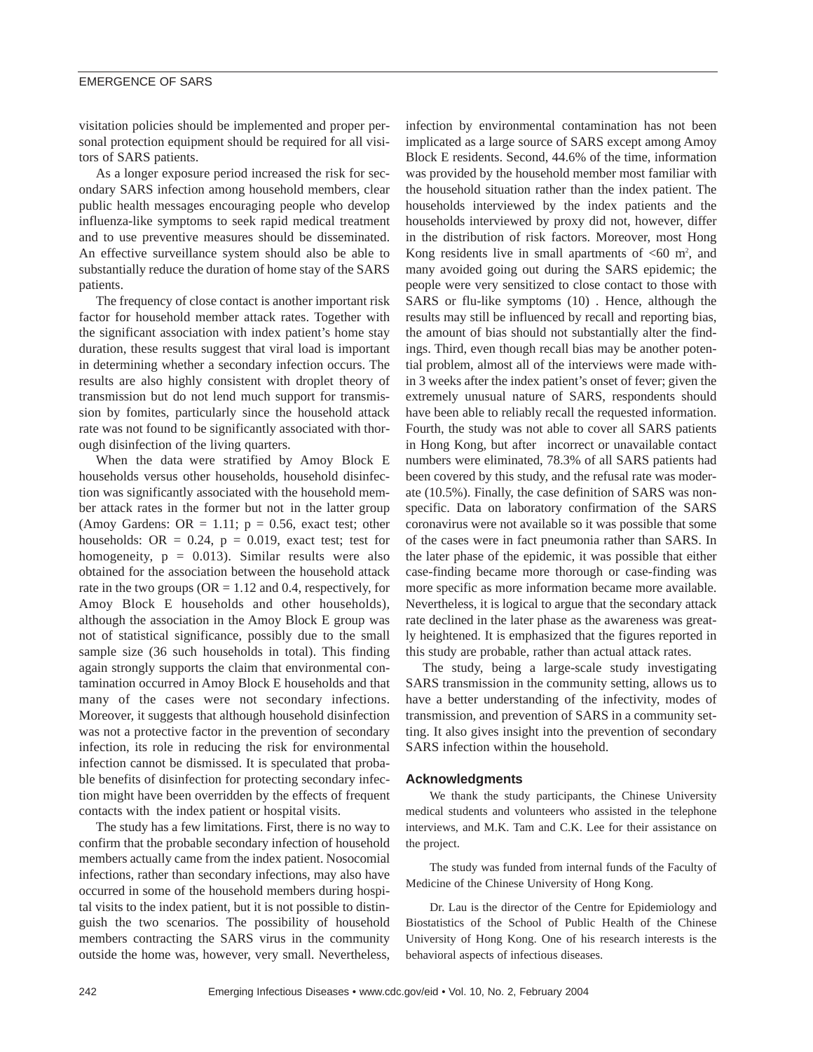# EMERGENCE OF SARS

visitation policies should be implemented and proper personal protection equipment should be required for all visitors of SARS patients.

As a longer exposure period increased the risk for secondary SARS infection among household members, clear public health messages encouraging people who develop influenza-like symptoms to seek rapid medical treatment and to use preventive measures should be disseminated. An effective surveillance system should also be able to substantially reduce the duration of home stay of the SARS patients.

The frequency of close contact is another important risk factor for household member attack rates. Together with the significant association with index patient's home stay duration, these results suggest that viral load is important in determining whether a secondary infection occurs. The results are also highly consistent with droplet theory of transmission but do not lend much support for transmission by fomites, particularly since the household attack rate was not found to be significantly associated with thorough disinfection of the living quarters.

When the data were stratified by Amoy Block E households versus other households, household disinfection was significantly associated with the household member attack rates in the former but not in the latter group (Amoy Gardens:  $OR = 1.11$ ;  $p = 0.56$ , exact test; other households: OR =  $0.24$ ,  $p = 0.019$ , exact test; test for homogeneity,  $p = 0.013$ . Similar results were also obtained for the association between the household attack rate in the two groups ( $OR = 1.12$  and 0.4, respectively, for Amoy Block E households and other households), although the association in the Amoy Block E group was not of statistical significance, possibly due to the small sample size (36 such households in total). This finding again strongly supports the claim that environmental contamination occurred in Amoy Block E households and that many of the cases were not secondary infections. Moreover, it suggests that although household disinfection was not a protective factor in the prevention of secondary infection, its role in reducing the risk for environmental infection cannot be dismissed. It is speculated that probable benefits of disinfection for protecting secondary infection might have been overridden by the effects of frequent contacts with the index patient or hospital visits.

The study has a few limitations. First, there is no way to confirm that the probable secondary infection of household members actually came from the index patient. Nosocomial infections, rather than secondary infections, may also have occurred in some of the household members during hospital visits to the index patient, but it is not possible to distinguish the two scenarios. The possibility of household members contracting the SARS virus in the community outside the home was, however, very small. Nevertheless,

infection by environmental contamination has not been implicated as a large source of SARS except among Amoy Block E residents. Second, 44.6% of the time, information was provided by the household member most familiar with the household situation rather than the index patient. The households interviewed by the index patients and the households interviewed by proxy did not, however, differ in the distribution of risk factors. Moreover, most Hong Kong residents live in small apartments of  $<$  60 m<sup>2</sup>, and many avoided going out during the SARS epidemic; the people were very sensitized to close contact to those with SARS or flu-like symptoms (10) . Hence, although the results may still be influenced by recall and reporting bias, the amount of bias should not substantially alter the findings. Third, even though recall bias may be another potential problem, almost all of the interviews were made within 3 weeks after the index patient's onset of fever; given the extremely unusual nature of SARS, respondents should have been able to reliably recall the requested information. Fourth, the study was not able to cover all SARS patients in Hong Kong, but after incorrect or unavailable contact numbers were eliminated, 78.3% of all SARS patients had been covered by this study, and the refusal rate was moderate (10.5%). Finally, the case definition of SARS was nonspecific. Data on laboratory confirmation of the SARS coronavirus were not available so it was possible that some of the cases were in fact pneumonia rather than SARS. In the later phase of the epidemic, it was possible that either case-finding became more thorough or case-finding was more specific as more information became more available. Nevertheless, it is logical to argue that the secondary attack rate declined in the later phase as the awareness was greatly heightened. It is emphasized that the figures reported in this study are probable, rather than actual attack rates.

The study, being a large-scale study investigating SARS transmission in the community setting, allows us to have a better understanding of the infectivity, modes of transmission, and prevention of SARS in a community setting. It also gives insight into the prevention of secondary SARS infection within the household.

#### **Acknowledgments**

We thank the study participants, the Chinese University medical students and volunteers who assisted in the telephone interviews, and M.K. Tam and C.K. Lee for their assistance on the project.

The study was funded from internal funds of the Faculty of Medicine of the Chinese University of Hong Kong.

Dr. Lau is the director of the Centre for Epidemiology and Biostatistics of the School of Public Health of the Chinese University of Hong Kong. One of his research interests is the behavioral aspects of infectious diseases.